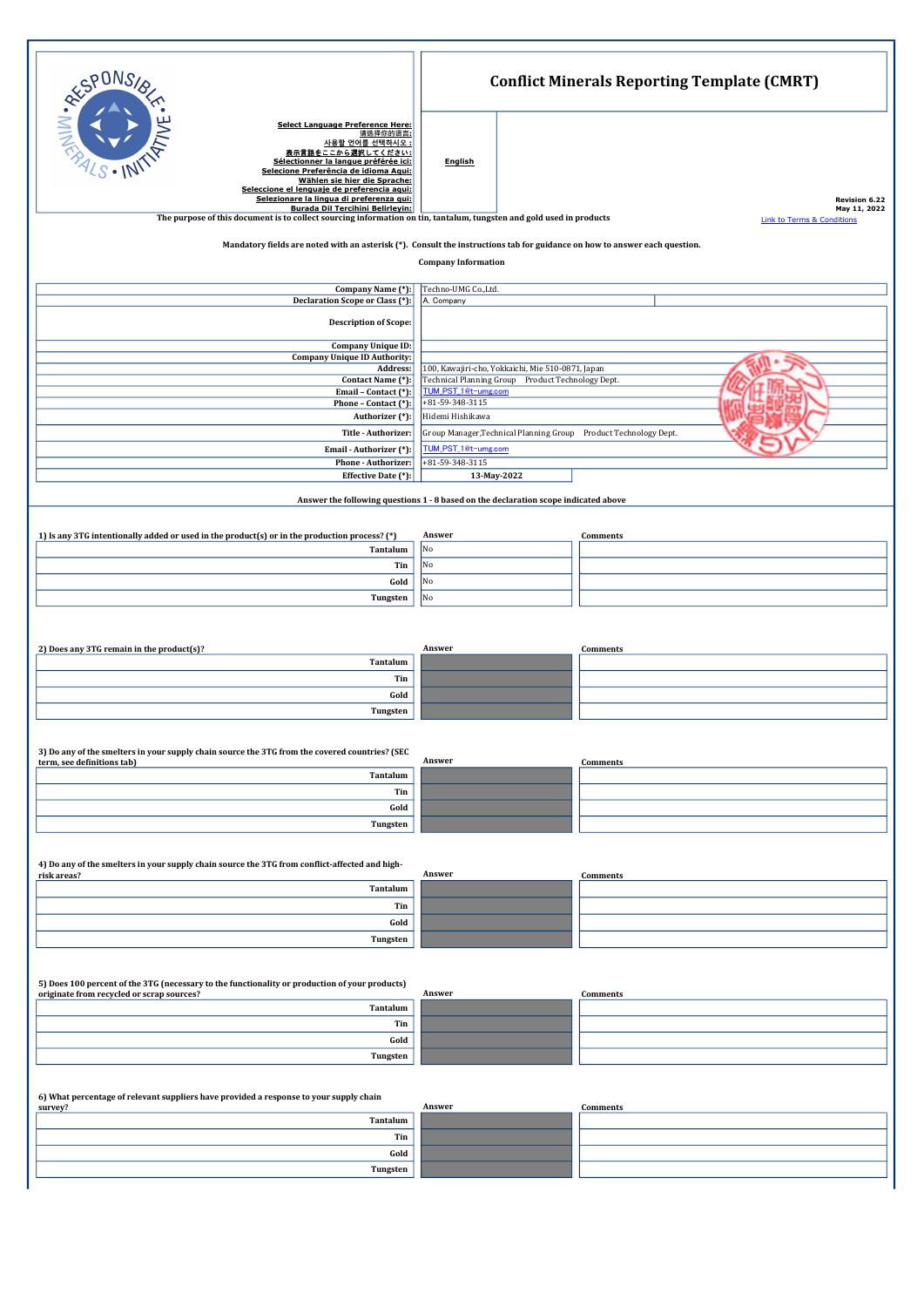|                                                                                                                                                                                                      |                                                                                                        | <b>Conflict Minerals Reporting Template (CMRT)</b> |                                       |  |
|------------------------------------------------------------------------------------------------------------------------------------------------------------------------------------------------------|--------------------------------------------------------------------------------------------------------|----------------------------------------------------|---------------------------------------|--|
| ERE CONS<br>Select Language Preference Here:<br>请选择你的语言:<br>사용할 언어를 선택하시오<br>をここから選択してください:<br>Sélectionner la langue préférée ici:                                                                  | <b>English</b>                                                                                         |                                                    |                                       |  |
| Selecione Preferência de idioma Aqui:<br>Wählen sie hier die Sprache:<br>Seleccione el lenguaje de preferencia aqui:<br>Selezionare la lingua di preferenza qui:<br>Burada Dil Tercihini Belirlevin: |                                                                                                        |                                                    | <b>Revision 6.22</b><br>May 11, 2022  |  |
| The purpose of this document is to collect sourcing information on tin, tantalum, tungsten and gold used in products                                                                                 |                                                                                                        |                                                    | <b>Link to Terms &amp; Conditions</b> |  |
| Mandatory fields are noted with an asterisk (*). Consult the instructions tab for guidance on how to answer each question.<br><b>Company Information</b>                                             |                                                                                                        |                                                    |                                       |  |
| Company Name (*):<br>Declaration Scope or Class (*):                                                                                                                                                 | Techno-UMG Co.,Ltd.<br>A. Company                                                                      |                                                    |                                       |  |
| <b>Description of Scope:</b>                                                                                                                                                                         |                                                                                                        |                                                    |                                       |  |
| Company Unique ID:<br><b>Company Unique ID Authority:</b>                                                                                                                                            |                                                                                                        |                                                    |                                       |  |
| Address:<br>Contact Name (*):                                                                                                                                                                        | 100, Kawajiri-cho, Yokkaichi, Mie 510-0871, Japan<br>Technical Planning Group Product Technology Dept. |                                                    |                                       |  |
| Email - Contact (*):                                                                                                                                                                                 | TUM_PST_1@t-umg.com                                                                                    |                                                    |                                       |  |
| Phone - Contact (*):<br>Authorizer (*):                                                                                                                                                              | +81-59-348-3115<br>Hidemi Hishikawa                                                                    |                                                    |                                       |  |
| Title - Authorizer:                                                                                                                                                                                  | Group Manager, Technical Planning Group Product Technology Dept.                                       |                                                    |                                       |  |
| Email - Authorizer (*):                                                                                                                                                                              | TUM_PST_1@t-umg.com                                                                                    |                                                    |                                       |  |
| Phone - Authorizer:<br>Effective Date (*):                                                                                                                                                           | +81-59-348-3115<br>13-May-2022                                                                         |                                                    |                                       |  |
|                                                                                                                                                                                                      |                                                                                                        |                                                    |                                       |  |
| Answer the following questions 1 - 8 based on the declaration scope indicated above                                                                                                                  |                                                                                                        |                                                    |                                       |  |
| 1) Is any 3TG intentionally added or used in the product(s) or in the production process? (*)                                                                                                        | Answer                                                                                                 | Comments                                           |                                       |  |
| Tantalum                                                                                                                                                                                             | No                                                                                                     |                                                    |                                       |  |
| Tin                                                                                                                                                                                                  | No                                                                                                     |                                                    |                                       |  |
| Gold                                                                                                                                                                                                 | No                                                                                                     |                                                    |                                       |  |
| Tungsten                                                                                                                                                                                             | No                                                                                                     |                                                    |                                       |  |
|                                                                                                                                                                                                      |                                                                                                        |                                                    |                                       |  |
| 2) Does any 3TG remain in the product(s)?                                                                                                                                                            | Answer                                                                                                 | <b>Comments</b>                                    |                                       |  |
| Tantalum                                                                                                                                                                                             |                                                                                                        |                                                    |                                       |  |
| Tin                                                                                                                                                                                                  |                                                                                                        |                                                    |                                       |  |
| Gold<br>Tungsten                                                                                                                                                                                     |                                                                                                        |                                                    |                                       |  |
|                                                                                                                                                                                                      |                                                                                                        |                                                    |                                       |  |
| 3) Do any of the smelters in your supply chain source the 3TG from the covered countries? (SEC<br>term, see definitions tab)                                                                         | Answer                                                                                                 | <b>Comments</b>                                    |                                       |  |
| Tantalum                                                                                                                                                                                             |                                                                                                        |                                                    |                                       |  |
| Tin                                                                                                                                                                                                  |                                                                                                        |                                                    |                                       |  |
| Gold                                                                                                                                                                                                 |                                                                                                        |                                                    |                                       |  |
| Tungsten                                                                                                                                                                                             |                                                                                                        |                                                    |                                       |  |
| 4) Do any of the smelters in your supply chain source the 3TG from conflict-affected and high-                                                                                                       | Answer                                                                                                 |                                                    |                                       |  |
| risk areas?<br>Tantalum                                                                                                                                                                              |                                                                                                        | Comments                                           |                                       |  |
| Tin                                                                                                                                                                                                  |                                                                                                        |                                                    |                                       |  |
| Gold                                                                                                                                                                                                 |                                                                                                        |                                                    |                                       |  |
| Tungsten                                                                                                                                                                                             |                                                                                                        |                                                    |                                       |  |
|                                                                                                                                                                                                      |                                                                                                        |                                                    |                                       |  |
| 5) Does 100 percent of the 3TG (necessary to the functionality or production of your products)<br>originate from recycled or scrap sources?                                                          | Answer                                                                                                 | Comments                                           |                                       |  |
| Tantalum                                                                                                                                                                                             |                                                                                                        |                                                    |                                       |  |
| Tin                                                                                                                                                                                                  |                                                                                                        |                                                    |                                       |  |
| Gold<br>Tungsten                                                                                                                                                                                     |                                                                                                        |                                                    |                                       |  |
|                                                                                                                                                                                                      |                                                                                                        |                                                    |                                       |  |
| 6) What percentage of relevant suppliers have provided a response to your supply chain<br>survey?                                                                                                    | Answer                                                                                                 | Comments                                           |                                       |  |
| Tantalum                                                                                                                                                                                             |                                                                                                        |                                                    |                                       |  |
| Tin                                                                                                                                                                                                  |                                                                                                        |                                                    |                                       |  |
| Gold                                                                                                                                                                                                 |                                                                                                        |                                                    |                                       |  |
| Tungsten                                                                                                                                                                                             |                                                                                                        |                                                    |                                       |  |